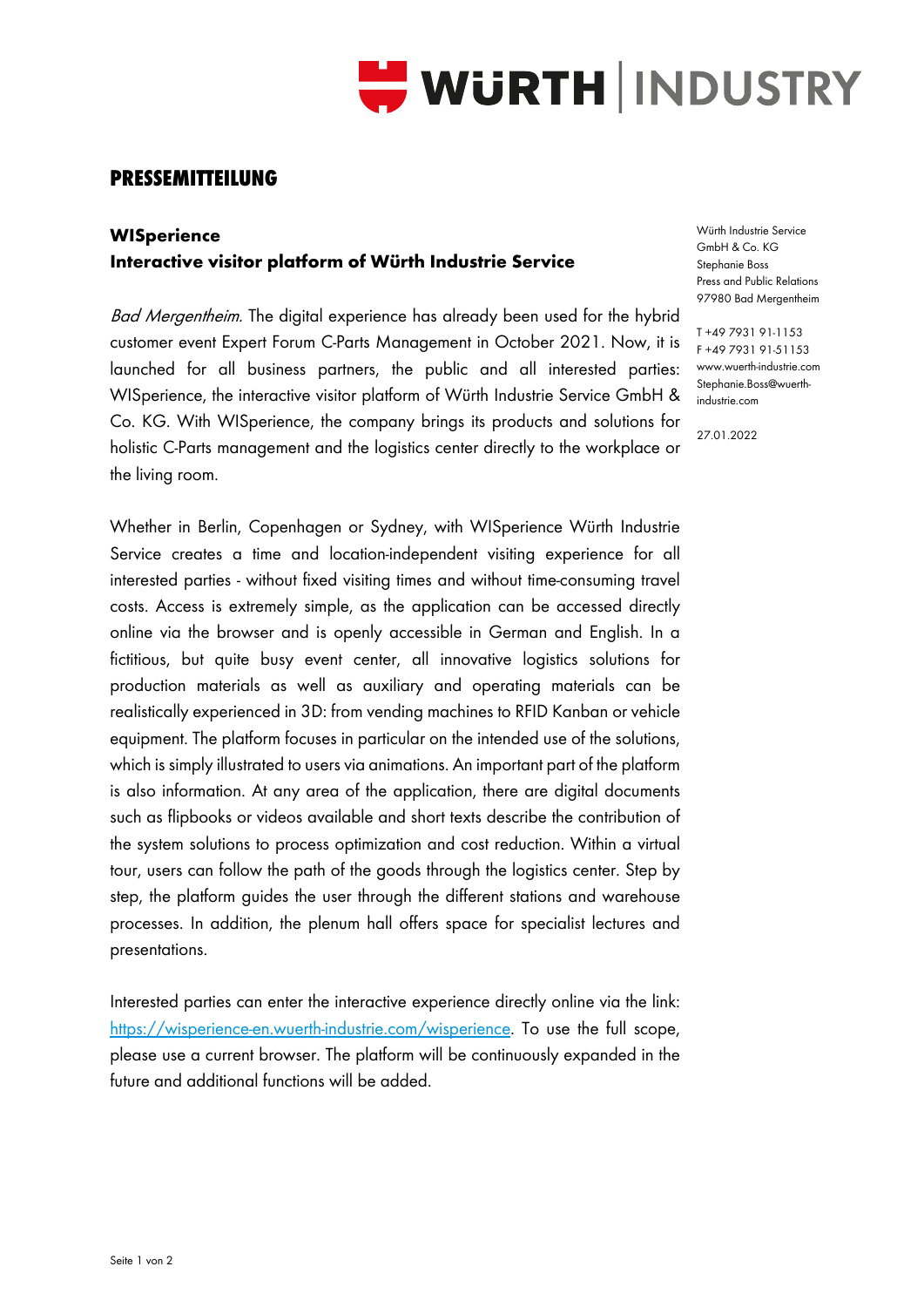

## **PRESSEMITTEILUNG**

## **WISperience Interactive visitor platform of Würth Industrie Service**

Bad Mergentheim. The digital experience has already been used for the hybrid customer event Expert Forum C-Parts Management in October 2021. Now, it is launched for all business partners, the public and all interested parties: WISperience, the interactive visitor platform of Würth Industrie Service GmbH & Co. KG. With WISperience, the company brings its products and solutions for holistic C-Parts management and the logistics center directly to the workplace or the living room.

Whether in Berlin, Copenhagen or Sydney, with WISperience Würth Industrie Service creates a time and location-independent visiting experience for all interested parties - without fixed visiting times and without time-consuming travel costs. Access is extremely simple, as the application can be accessed directly online via the browser and is openly accessible in German and English. In a fictitious, but quite busy event center, all innovative logistics solutions for production materials as well as auxiliary and operating materials can be realistically experienced in 3D: from vending machines to RFID Kanban or vehicle equipment. The platform focuses in particular on the intended use of the solutions, which is simply illustrated to users via animations. An important part of the platform is also information. At any area of the application, there are digital documents such as flipbooks or videos available and short texts describe the contribution of the system solutions to process optimization and cost reduction. Within a virtual tour, users can follow the path of the goods through the logistics center. Step by step, the platform guides the user through the different stations and warehouse processes. In addition, the plenum hall offers space for specialist lectures and presentations.

Interested parties can enter the interactive experience directly online via the link: [https://wisperience-en.wuerth-industrie.com/wisperience.](https://wisperience-en.wuerth-industrie.com/wisperience) To use the full scope, please use a current browser. The platform will be continuously expanded in the future and additional functions will be added.

Würth Industrie Service GmbH & Co. KG Stephanie Boss Press and Public Relations 97980 Bad Mergentheim

T +49 7931 91-1153 F +49 7931 91-51153 www.wuerth-industrie.com Stephanie.Boss@wuerthindustrie.com

27.01.2022